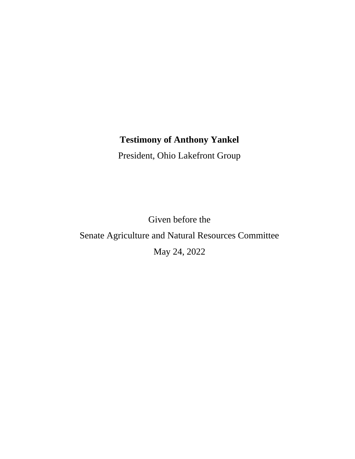## **Testimony of Anthony Yankel**

President, Ohio Lakefront Group

Given before the Senate Agriculture and Natural Resources Committee May 24, 2022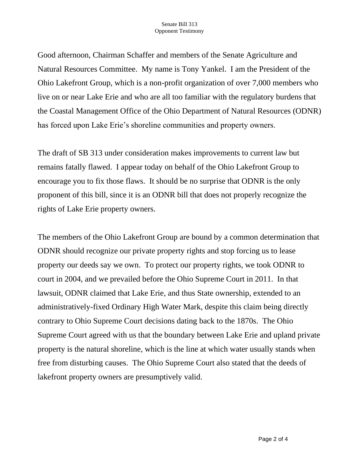Good afternoon, Chairman Schaffer and members of the Senate Agriculture and Natural Resources Committee. My name is Tony Yankel. I am the President of the Ohio Lakefront Group, which is a non-profit organization of over 7,000 members who live on or near Lake Erie and who are all too familiar with the regulatory burdens that the Coastal Management Office of the Ohio Department of Natural Resources (ODNR) has forced upon Lake Erie's shoreline communities and property owners.

The draft of SB 313 under consideration makes improvements to current law but remains fatally flawed. I appear today on behalf of the Ohio Lakefront Group to encourage you to fix those flaws. It should be no surprise that ODNR is the only proponent of this bill, since it is an ODNR bill that does not properly recognize the rights of Lake Erie property owners.

The members of the Ohio Lakefront Group are bound by a common determination that ODNR should recognize our private property rights and stop forcing us to lease property our deeds say we own. To protect our property rights, we took ODNR to court in 2004, and we prevailed before the Ohio Supreme Court in 2011. In that lawsuit, ODNR claimed that Lake Erie, and thus State ownership, extended to an administratively-fixed Ordinary High Water Mark, despite this claim being directly contrary to Ohio Supreme Court decisions dating back to the 1870s. The Ohio Supreme Court agreed with us that the boundary between Lake Erie and upland private property is the natural shoreline, which is the line at which water usually stands when free from disturbing causes. The Ohio Supreme Court also stated that the deeds of lakefront property owners are presumptively valid.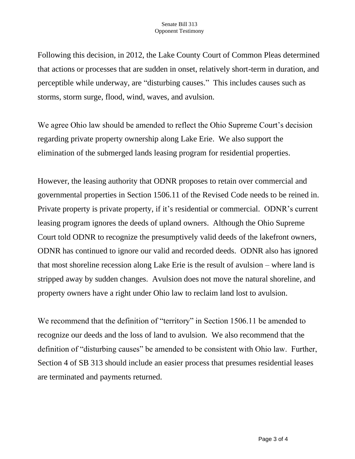## Senate Bill 313 Opponent Testimony

Following this decision, in 2012, the Lake County Court of Common Pleas determined that actions or processes that are sudden in onset, relatively short-term in duration, and perceptible while underway, are "disturbing causes." This includes causes such as storms, storm surge, flood, wind, waves, and avulsion.

We agree Ohio law should be amended to reflect the Ohio Supreme Court's decision regarding private property ownership along Lake Erie. We also support the elimination of the submerged lands leasing program for residential properties.

However, the leasing authority that ODNR proposes to retain over commercial and governmental properties in Section 1506.11 of the Revised Code needs to be reined in. Private property is private property, if it's residential or commercial. ODNR's current leasing program ignores the deeds of upland owners. Although the Ohio Supreme Court told ODNR to recognize the presumptively valid deeds of the lakefront owners, ODNR has continued to ignore our valid and recorded deeds. ODNR also has ignored that most shoreline recession along Lake Erie is the result of avulsion – where land is stripped away by sudden changes. Avulsion does not move the natural shoreline, and property owners have a right under Ohio law to reclaim land lost to avulsion.

We recommend that the definition of "territory" in Section 1506.11 be amended to recognize our deeds and the loss of land to avulsion. We also recommend that the definition of "disturbing causes" be amended to be consistent with Ohio law. Further, Section 4 of SB 313 should include an easier process that presumes residential leases are terminated and payments returned.